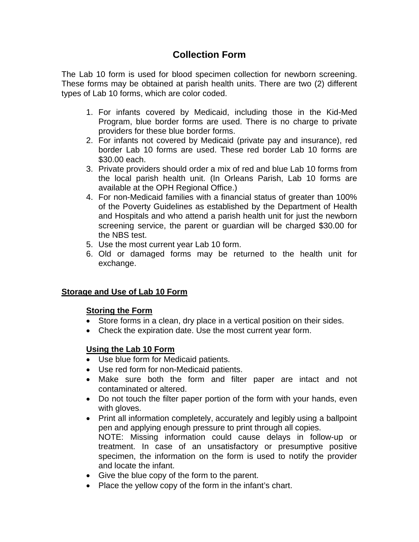# **Collection Form**

The Lab 10 form is used for blood specimen collection for newborn screening. These forms may be obtained at parish health units. There are two (2) different types of Lab 10 forms, which are color coded.

- 1. For infants covered by Medicaid, including those in the Kid-Med Program, blue border forms are used. There is no charge to private providers for these blue border forms.
- 2. For infants not covered by Medicaid (private pay and insurance), red border Lab 10 forms are used. These red border Lab 10 forms are \$30.00 each.
- 3. Private providers should order a mix of red and blue Lab 10 forms from the local parish health unit. (In Orleans Parish, Lab 10 forms are available at the OPH Regional Office.)
- 4. For non-Medicaid families with a financial status of greater than 100% of the Poverty Guidelines as established by the Department of Health and Hospitals and who attend a parish health unit for just the newborn screening service, the parent or guardian will be charged \$30.00 for the NBS test.
- 5. Use the most current year Lab 10 form.
- 6. Old or damaged forms may be returned to the health unit for exchange.

## **Storage and Use of Lab 10 Form**

## **Storing the Form**

- Store forms in a clean, dry place in a vertical position on their sides.
- Check the expiration date. Use the most current year form.

## **Using the Lab 10 Form**

- Use blue form for Medicaid patients.
- Use red form for non-Medicaid patients.
- Make sure both the form and filter paper are intact and not contaminated or altered.
- Do not touch the filter paper portion of the form with your hands, even with gloves.
- Print all information completely, accurately and legibly using a ballpoint pen and applying enough pressure to print through all copies. NOTE: Missing information could cause delays in follow-up or treatment. In case of an unsatisfactory or presumptive positive specimen, the information on the form is used to notify the provider and locate the infant.
- Give the blue copy of the form to the parent.
- Place the yellow copy of the form in the infant's chart.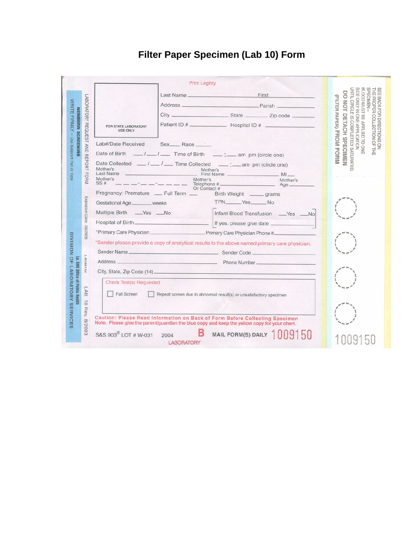#### **Print Legibly** BLOOD MUST BE APPLIED TO ONE<br>SIDE ONLY IN ONE APPLICATION<br>UNTIL CIRCLE IS COMPLETELY SATURATED. SPECIMEN-SEE BACK FOR DIRECTIONS ON<br>THE PROPER COLLECTION OF THE DO NOT DETACH SPECIMEN Last Name First (FILTER PAPER) FROM FORM LABORATORY REQUEST AND REPORT FORM WRITE FIRMLY - Use Ballpoint Pen or Type <u> Parish and Charles Barangkan and Charles Barangkan and Charles Barangkan and Charles Barangkan and Charles Barangkan and Charles Barangkan and Charles Barangkan and Charles Barangkan and Charles Barangkan and Charles Bar</u> Address \_\_ NEWBORN SCREENING  $City$   $\qquad$ \_State \_\_\_\_\_\_\_\_\_ Zip code \_\_ FOR STATE LABORATORY<br>USE ONLY Lab#/Date Received Sex\_ Race \_\_\_\_\_ Date of Birth  $1 - 1 - 1$  Time of Birth  $1 - 1$  am pm (circle one) Date Collected  $\frac{1}{\sqrt{1-\frac{1}{1-\frac{1}{1-\frac{1}{1-\frac{1}{1-\frac{1}{1-\frac{1}{1-\frac{1}{1-\frac{1}{1-\frac{1}{1-\frac{1}{1-\frac{1}{1-\frac{1}{1-\frac{1}{1-\frac{1}{1-\frac{1}{1-\frac{1}{1-\frac{1}{1-\frac{1}{1-\frac{1}{1-\frac{1}{1-\frac{1}{1-\frac{1}{1-\frac{1}{1-\frac{1}{1-\frac{1}{1-\frac{1}{1-\frac{1}{1-\frac{1}{1-\frac{1}{1-\frac{1}{1-\frac{1}{1-\frac{1}{1-\frac{1$ Mother's<br>Eirst Name Mother's Last Name  $M1$ Mother's<br>SS #  $------$ Mother's Mother's<br>Age Telephone # act #<br>Birth Weight \_\_\_\_\_\_ grams Pregnancy: Premature \_\_ Full Term \_\_ Expiration Date: Gestational Age \_\_\_\_\_\_\_ weeks TPN\_\_\_\_\_Yes\_\_\_\_\_No Multiple Birth \_\_\_Yes \_\_\_No Infant Blood Transfusion \_\_ Yes \_\_No If yes, please give date \_\_ 9002/80 DIVISION OF LABORATORY SERVICES \*Sender please provide a copy of analytical results to the above named primary care physician. Sender Name \_ Sender Code \_ L-6168104 F. Address \_\_\_\_ Phone Number\_ **HHD** City, State, Zip Code (14) **Office of Public Check Test(s) Requested LAB** Full Screen Repeat screen due to abnormal result(s) or unsatisfactory specimen : Health  $\vec{o}$ Rev. Caution: Please Read Information on Back of Form Before Collecting Specimen<br>Note: Please give the parent/guardian the blue copy and keep the yellow copy for your chart. 8/2003 1009150 в S&S 903<sup>®</sup> LOT # W-031 MAIL FORM(S) DAILY 2004 1009150 **LABORATORY**

## **Filter Paper Specimen (Lab 10) Form**